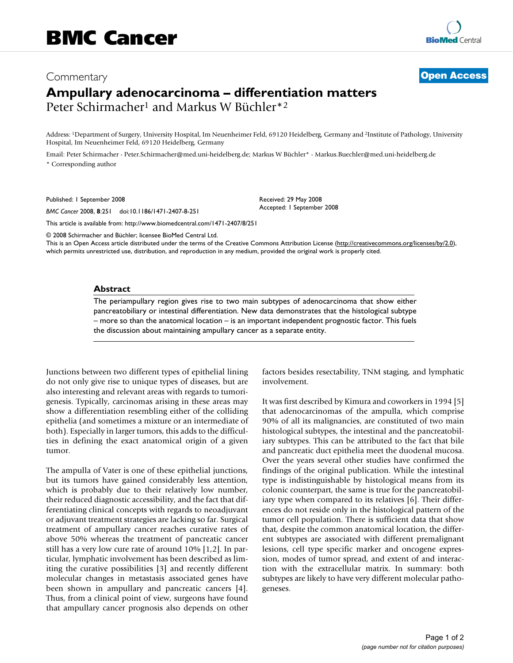# Commentary **[Open Access](http://www.biomedcentral.com/info/about/charter/) Ampullary adenocarcinoma – differentiation matters** Peter Schirmacher1 and Markus W Büchler\*2

Address: 1Department of Surgery, University Hospital, Im Neuenheimer Feld, 69120 Heidelberg, Germany and 2Institute of Pathology, University Hospital, Im Neuenheimer Feld, 69120 Heidelberg, Germany

> Received: 29 May 2008 Accepted: 1 September 2008

Email: Peter Schirmacher - Peter.Schirmacher@med.uni-heidelberg.de; Markus W Büchler\* - Markus.Buechler@med.uni-heidelberg.de \* Corresponding author

Published: 1 September 2008

*BMC Cancer* 2008, **8**:251 doi:10.1186/1471-2407-8-251

[This article is available from: http://www.biomedcentral.com/1471-2407/8/251](http://www.biomedcentral.com/1471-2407/8/251)

© 2008 Schirmacher and Büchler; licensee BioMed Central Ltd.

This is an Open Access article distributed under the terms of the Creative Commons Attribution License [\(http://creativecommons.org/licenses/by/2.0\)](http://creativecommons.org/licenses/by/2.0), which permits unrestricted use, distribution, and reproduction in any medium, provided the original work is properly cited.

### **Abstract**

The periampullary region gives rise to two main subtypes of adenocarcinoma that show either pancreatobiliary or intestinal differentiation. New data demonstrates that the histological subtype – more so than the anatomical location – is an important independent prognostic factor. This fuels the discussion about maintaining ampullary cancer as a separate entity.

Junctions between two different types of epithelial lining do not only give rise to unique types of diseases, but are also interesting and relevant areas with regards to tumorigenesis. Typically, carcinomas arising in these areas may show a differentiation resembling either of the colliding epithelia (and sometimes a mixture or an intermediate of both). Especially in larger tumors, this adds to the difficulties in defining the exact anatomical origin of a given tumor.

The ampulla of Vater is one of these epithelial junctions, but its tumors have gained considerably less attention, which is probably due to their relatively low number, their reduced diagnostic accessibility, and the fact that differentiating clinical concepts with regards to neoadjuvant or adjuvant treatment strategies are lacking so far. Surgical treatment of ampullary cancer reaches curative rates of above 50% whereas the treatment of pancreatic cancer still has a very low cure rate of around 10% [1,2]. In particular, lymphatic involvement has been described as limiting the curative possibilities [3] and recently different molecular changes in metastasis associated genes have been shown in ampullary and pancreatic cancers [4]. Thus, from a clinical point of view, surgeons have found that ampullary cancer prognosis also depends on other factors besides resectability, TNM staging, and lymphatic involvement.

It was first described by Kimura and coworkers in 1994 [5] that adenocarcinomas of the ampulla, which comprise 90% of all its malignancies, are constituted of two main histological subtypes, the intestinal and the pancreatobiliary subtypes. This can be attributed to the fact that bile and pancreatic duct epithelia meet the duodenal mucosa. Over the years several other studies have confirmed the findings of the original publication. While the intestinal type is indistinguishable by histological means from its colonic counterpart, the same is true for the pancreatobiliary type when compared to its relatives [6]. Their differences do not reside only in the histological pattern of the tumor cell population. There is sufficient data that show that, despite the common anatomical location, the different subtypes are associated with different premalignant lesions, cell type specific marker and oncogene expression, modes of tumor spread, and extent of and interaction with the extracellular matrix. In summary: both subtypes are likely to have very different molecular pathogeneses.